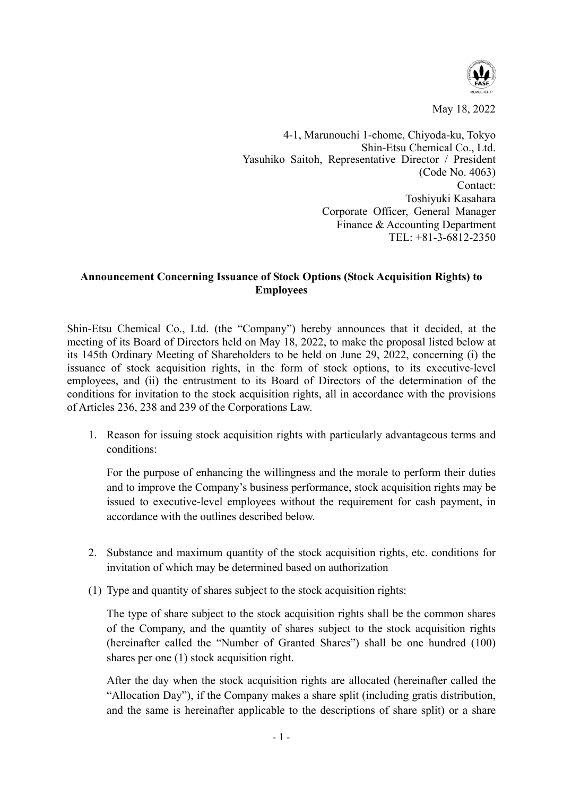

May 18, 2022

4-1, Marunouchi 1-chome, Chiyoda-ku, Tokyo Shin-Etsu Chemical Co., Ltd. Yasuhiko Saitoh, Representative Director / President (Code No. 4063) Contact: Toshiyuki Kasahara Corporate Officer, General Manager Finance & Accounting Department TEL: +81-3-6812-2350

## **Announcement Concerning Issuance of Stock Options (Stock Acquisition Rights) to Employees**

Shin-Etsu Chemical Co., Ltd. (the "Company") hereby announces that it decided, at the meeting of its Board of Directors held on May 18, 2022, to make the proposal listed below at its 145th Ordinary Meeting of Shareholders to be held on June 29, 2022, concerning (i) the issuance of stock acquisition rights, in the form of stock options, to its executive-level employees, and (ii) the entrustment to its Board of Directors of the determination of the conditions for invitation to the stock acquisition rights, all in accordance with the provisions of Articles 236, 238 and 239 of the Corporations Law.

1. Reason for issuing stock acquisition rights with particularly advantageous terms and conditions:

For the purpose of enhancing the willingness and the morale to perform their duties and to improve the Company's business performance, stock acquisition rights may be issued to executive-level employees without the requirement for cash payment, in accordance with the outlines described below.

- 2. Substance and maximum quantity of the stock acquisition rights, etc. conditions for invitation of which may be determined based on authorization
- (1) Type and quantity of shares subject to the stock acquisition rights:

The type of share subject to the stock acquisition rights shall be the common shares of the Company, and the quantity of shares subject to the stock acquisition rights (hereinafter called the "Number of Granted Shares") shall be one hundred (100) shares per one (1) stock acquisition right.

After the day when the stock acquisition rights are allocated (hereinafter called the "Allocation Day"), if the Company makes a share split (including gratis distribution, and the same is hereinafter applicable to the descriptions of share split) or a share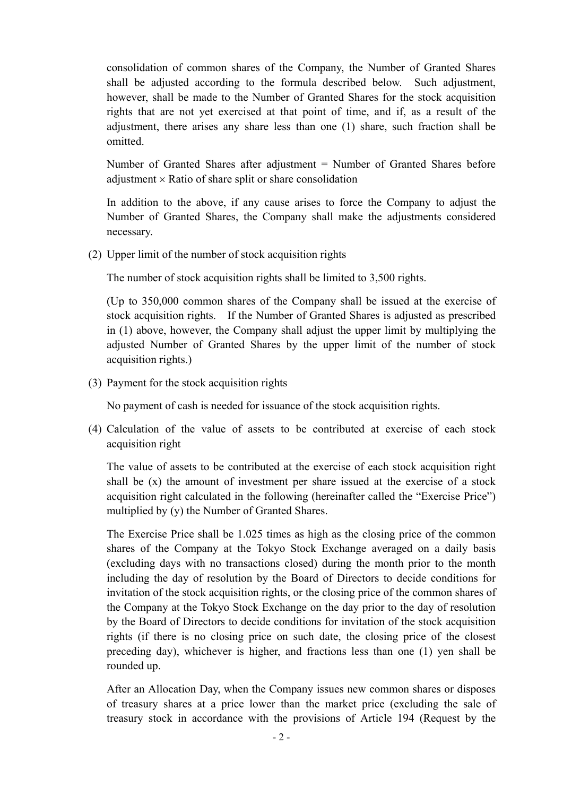consolidation of common shares of the Company, the Number of Granted Shares shall be adjusted according to the formula described below. Such adjustment, however, shall be made to the Number of Granted Shares for the stock acquisition rights that are not yet exercised at that point of time, and if, as a result of the adjustment, there arises any share less than one (1) share, such fraction shall be omitted.

Number of Granted Shares after adjustment = Number of Granted Shares before adjustment  $\times$  Ratio of share split or share consolidation

In addition to the above, if any cause arises to force the Company to adjust the Number of Granted Shares, the Company shall make the adjustments considered necessary.

(2) Upper limit of the number of stock acquisition rights

The number of stock acquisition rights shall be limited to 3,500 rights.

(Up to 350,000 common shares of the Company shall be issued at the exercise of stock acquisition rights. If the Number of Granted Shares is adjusted as prescribed in (1) above, however, the Company shall adjust the upper limit by multiplying the adjusted Number of Granted Shares by the upper limit of the number of stock acquisition rights.)

(3) Payment for the stock acquisition rights

No payment of cash is needed for issuance of the stock acquisition rights.

(4) Calculation of the value of assets to be contributed at exercise of each stock acquisition right

The value of assets to be contributed at the exercise of each stock acquisition right shall be (x) the amount of investment per share issued at the exercise of a stock acquisition right calculated in the following (hereinafter called the "Exercise Price") multiplied by (y) the Number of Granted Shares.

The Exercise Price shall be 1.025 times as high as the closing price of the common shares of the Company at the Tokyo Stock Exchange averaged on a daily basis (excluding days with no transactions closed) during the month prior to the month including the day of resolution by the Board of Directors to decide conditions for invitation of the stock acquisition rights, or the closing price of the common shares of the Company at the Tokyo Stock Exchange on the day prior to the day of resolution by the Board of Directors to decide conditions for invitation of the stock acquisition rights (if there is no closing price on such date, the closing price of the closest preceding day), whichever is higher, and fractions less than one (1) yen shall be rounded up.

After an Allocation Day, when the Company issues new common shares or disposes of treasury shares at a price lower than the market price (excluding the sale of treasury stock in accordance with the provisions of Article 194 (Request by the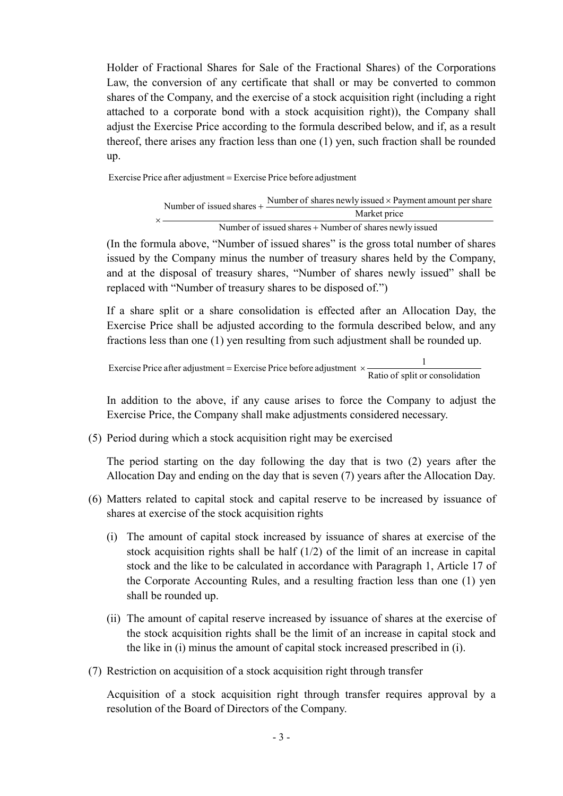Holder of Fractional Shares for Sale of the Fractional Shares) of the Corporations Law, the conversion of any certificate that shall or may be converted to common shares of the Company, and the exercise of a stock acquisition right (including a right attached to a corporate bond with a stock acquisition right)), the Company shall adjust the Exercise Price according to the formula described below, and if, as a result thereof, there arises any fraction less than one (1) yen, such fraction shall be rounded up.

Exercise Price after adjustment Exercise Price before adjustment

|  | Number of issued shares $+\frac{1}{2}$<br>$\times$ $\qquad$ | Number of shares newly issued x Payment amount per share |
|--|-------------------------------------------------------------|----------------------------------------------------------|
|  |                                                             | Market price                                             |
|  | Number of issued shares + Number of shares newly issued     |                                                          |

(In the formula above, "Number of issued shares" is the gross total number of shares issued by the Company minus the number of treasury shares held by the Company, and at the disposal of treasury shares, "Number of shares newly issued" shall be replaced with "Number of treasury shares to be disposed of.")

If a share split or a share consolidation is effected after an Allocation Day, the Exercise Price shall be adjusted according to the formula described below, and any fractions less than one (1) yen resulting from such adjustment shall be rounded up.

```
Exercise Price after adjustment = Exercise Price before adjustment \times \frac{1}{\text{Ratio of split or consolidation}}
```
In addition to the above, if any cause arises to force the Company to adjust the Exercise Price, the Company shall make adjustments considered necessary.

(5) Period during which a stock acquisition right may be exercised

The period starting on the day following the day that is two (2) years after the Allocation Day and ending on the day that is seven (7) years after the Allocation Day.

- (6) Matters related to capital stock and capital reserve to be increased by issuance of shares at exercise of the stock acquisition rights
	- (i) The amount of capital stock increased by issuance of shares at exercise of the stock acquisition rights shall be half (1/2) of the limit of an increase in capital stock and the like to be calculated in accordance with Paragraph 1, Article 17 of the Corporate Accounting Rules, and a resulting fraction less than one (1) yen shall be rounded up.
	- (ii) The amount of capital reserve increased by issuance of shares at the exercise of the stock acquisition rights shall be the limit of an increase in capital stock and the like in (i) minus the amount of capital stock increased prescribed in (i).
- (7) Restriction on acquisition of a stock acquisition right through transfer

Acquisition of a stock acquisition right through transfer requires approval by a resolution of the Board of Directors of the Company.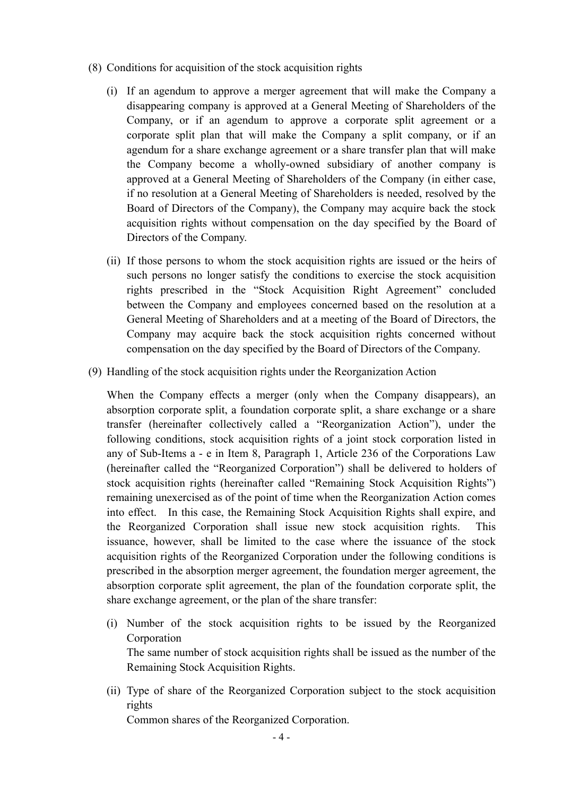- (8) Conditions for acquisition of the stock acquisition rights
	- (i) If an agendum to approve a merger agreement that will make the Company a disappearing company is approved at a General Meeting of Shareholders of the Company, or if an agendum to approve a corporate split agreement or a corporate split plan that will make the Company a split company, or if an agendum for a share exchange agreement or a share transfer plan that will make the Company become a wholly-owned subsidiary of another company is approved at a General Meeting of Shareholders of the Company (in either case, if no resolution at a General Meeting of Shareholders is needed, resolved by the Board of Directors of the Company), the Company may acquire back the stock acquisition rights without compensation on the day specified by the Board of Directors of the Company.
	- (ii) If those persons to whom the stock acquisition rights are issued or the heirs of such persons no longer satisfy the conditions to exercise the stock acquisition rights prescribed in the "Stock Acquisition Right Agreement" concluded between the Company and employees concerned based on the resolution at a General Meeting of Shareholders and at a meeting of the Board of Directors, the Company may acquire back the stock acquisition rights concerned without compensation on the day specified by the Board of Directors of the Company.
- (9) Handling of the stock acquisition rights under the Reorganization Action

When the Company effects a merger (only when the Company disappears), an absorption corporate split, a foundation corporate split, a share exchange or a share transfer (hereinafter collectively called a "Reorganization Action"), under the following conditions, stock acquisition rights of a joint stock corporation listed in any of Sub-Items a - e in Item 8, Paragraph 1, Article 236 of the Corporations Law (hereinafter called the "Reorganized Corporation") shall be delivered to holders of stock acquisition rights (hereinafter called "Remaining Stock Acquisition Rights") remaining unexercised as of the point of time when the Reorganization Action comes into effect. In this case, the Remaining Stock Acquisition Rights shall expire, and the Reorganized Corporation shall issue new stock acquisition rights. This issuance, however, shall be limited to the case where the issuance of the stock acquisition rights of the Reorganized Corporation under the following conditions is prescribed in the absorption merger agreement, the foundation merger agreement, the absorption corporate split agreement, the plan of the foundation corporate split, the share exchange agreement, or the plan of the share transfer:

- (i) Number of the stock acquisition rights to be issued by the Reorganized Corporation The same number of stock acquisition rights shall be issued as the number of the Remaining Stock Acquisition Rights.
- (ii) Type of share of the Reorganized Corporation subject to the stock acquisition rights

Common shares of the Reorganized Corporation.